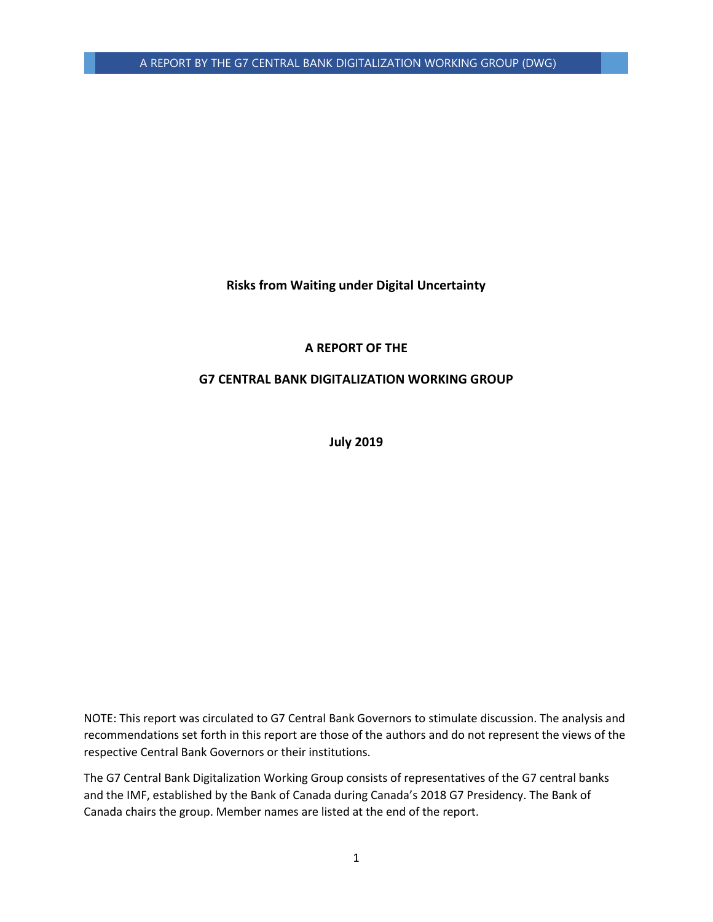**Risks from Waiting under Digital Uncertainty**

## **A REPORT OF THE**

## **G7 CENTRAL BANK DIGITALIZATION WORKING GROUP**

**July 2019**

NOTE: This report was circulated to G7 Central Bank Governors to stimulate discussion. The analysis and recommendations set forth in this report are those of the authors and do not represent the views of the respective Central Bank Governors or their institutions.

The G7 Central Bank Digitalization Working Group consists of representatives of the G7 central banks and the IMF, established by the Bank of Canada during Canada's 2018 G7 Presidency. The Bank of Canada chairs the group. Member names are listed at the end of the report.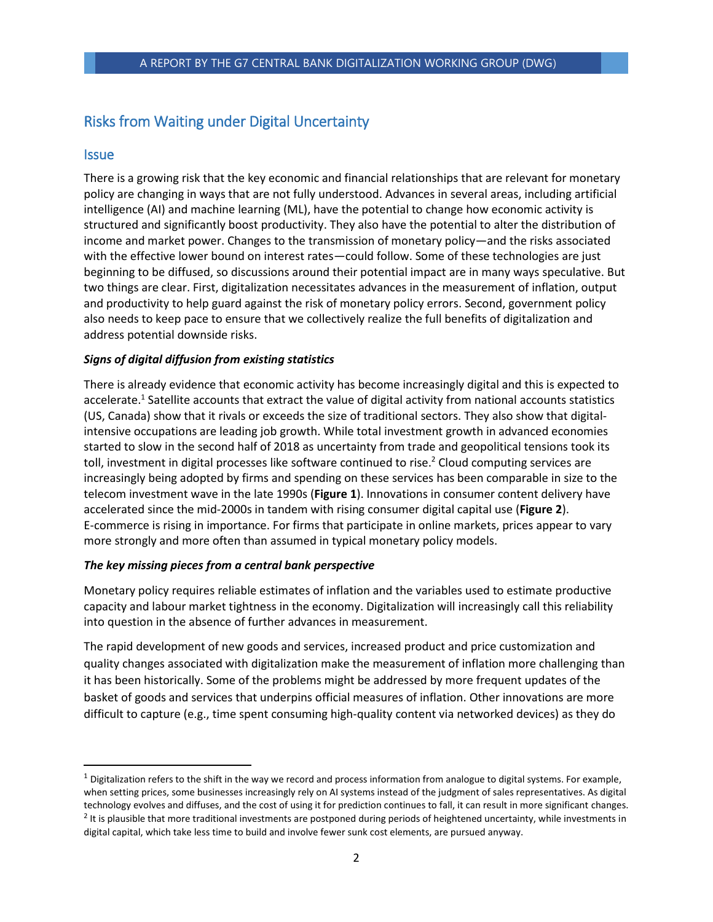# Risks from Waiting under Digital Uncertainty

## **Issue**

 $\overline{\phantom{a}}$ 

There is a growing risk that the key economic and financial relationships that are relevant for monetary policy are changing in ways that are not fully understood. Advances in several areas, including artificial intelligence (AI) and machine learning (ML), have the potential to change how economic activity is structured and significantly boost productivity. They also have the potential to alter the distribution of income and market power. Changes to the transmission of monetary policy—and the risks associated with the effective lower bound on interest rates—could follow. Some of these technologies are just beginning to be diffused, so discussions around their potential impact are in many ways speculative. But two things are clear. First, digitalization necessitates advances in the measurement of inflation, output and productivity to help guard against the risk of monetary policy errors. Second, government policy also needs to keep pace to ensure that we collectively realize the full benefits of digitalization and address potential downside risks.

## *Signs of digital diffusion from existing statistics*

There is already evidence that economic activity has become increasingly digital and this is expected to accelerate.<sup>1</sup> Satellite accounts that extract the value of digital activity from national accounts statistics (US, Canada) show that it rivals or exceeds the size of traditional sectors. They also show that digitalintensive occupations are leading job growth. While total investment growth in advanced economies started to slow in the second half of 2018 as uncertainty from trade and geopolitical tensions took its toll, investment in digital processes like software continued to rise.<sup>2</sup> Cloud computing services are increasingly being adopted by firms and spending on these services has been comparable in size to the telecom investment wave in the late 1990s (**Figure 1**). Innovations in consumer content delivery have accelerated since the mid-2000s in tandem with rising consumer digital capital use (**Figure 2**). E-commerce is rising in importance. For firms that participate in online markets, prices appear to vary more strongly and more often than assumed in typical monetary policy models.

## *The key missing pieces from a central bank perspective*

Monetary policy requires reliable estimates of inflation and the variables used to estimate productive capacity and labour market tightness in the economy. Digitalization will increasingly call this reliability into question in the absence of further advances in measurement.

The rapid development of new goods and services, increased product and price customization and quality changes associated with digitalization make the measurement of inflation more challenging than it has been historically. Some of the problems might be addressed by more frequent updates of the basket of goods and services that underpins official measures of inflation. Other innovations are more difficult to capture (e.g., time spent consuming high-quality content via networked devices) as they do

 $1$  Digitalization refers to the shift in the way we record and process information from analogue to digital systems. For example, when setting prices, some businesses increasingly rely on AI systems instead of the judgment of sales representatives. As digital technology evolves and diffuses, and the cost of using it for prediction continues to fall, it can result in more significant changes. <sup>2</sup> It is plausible that more traditional investments are postponed during periods of heightened uncertainty, while investments in digital capital, which take less time to build and involve fewer sunk cost elements, are pursued anyway.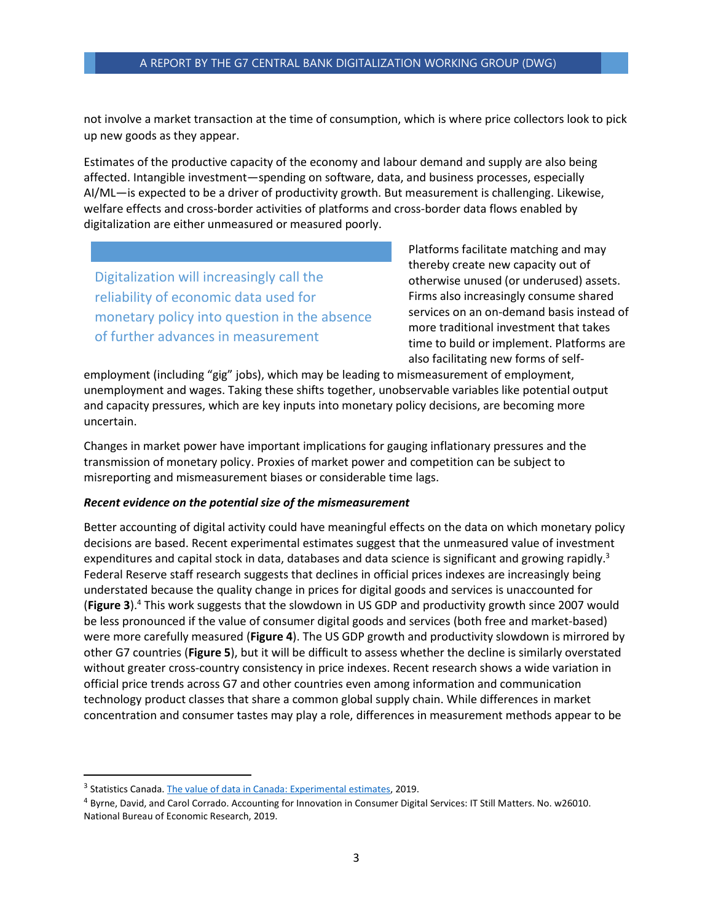#### A REPORT BY THE G7 CENTRAL BANK DIGITALIZATION WORKING GROUP (DWG)

not involve a market transaction at the time of consumption, which is where price collectors look to pick up new goods as they appear.

Estimates of the productive capacity of the economy and labour demand and supply are also being affected. Intangible investment—spending on software, data, and business processes, especially AI/ML—is expected to be a driver of productivity growth. But measurement is challenging. Likewise, welfare effects and cross-border activities of platforms and cross-border data flows enabled by digitalization are either unmeasured or measured poorly.

Digitalization will increasingly call the reliability of economic data used for monetary policy into question in the absence of further advances in measurement

Platforms facilitate matching and may thereby create new capacity out of otherwise unused (or underused) assets. Firms also increasingly consume shared services on an on-demand basis instead of more traditional investment that takes time to build or implement. Platforms are also facilitating new forms of self-

employment (including "gig" jobs), which may be leading to mismeasurement of employment, unemployment and wages. Taking these shifts together, unobservable variables like potential output and capacity pressures, which are key inputs into monetary policy decisions, are becoming more uncertain.

Changes in market power have important implications for gauging inflationary pressures and the transmission of monetary policy. Proxies of market power and competition can be subject to misreporting and mismeasurement biases or considerable time lags.

#### *Recent evidence on the potential size of the mismeasurement*

Better accounting of digital activity could have meaningful effects on the data on which monetary policy decisions are based. Recent experimental estimates suggest that the unmeasured value of investment expenditures and capital stock in data, databases and data science is significant and growing rapidly.<sup>3</sup> Federal Reserve staff research suggests that declines in official prices indexes are increasingly being understated because the quality change in prices for digital goods and services is unaccounted for (**Figure 3**).<sup>4</sup> This work suggests that the slowdown in US GDP and productivity growth since 2007 would be less pronounced if the value of consumer digital goods and services (both free and market-based) were more carefully measured (**Figure 4**). The US GDP growth and productivity slowdown is mirrored by other G7 countries (**Figure 5**), but it will be difficult to assess whether the decline is similarly overstated without greater cross-country consistency in price indexes. Recent research shows a wide variation in official price trends across G7 and other countries even among information and communication technology product classes that share a common global supply chain. While differences in market concentration and consumer tastes may play a role, differences in measurement methods appear to be

l

<sup>&</sup>lt;sup>3</sup> Statistics Canada[. The value of data in Canada: Experimental estimates,](https://www150.statcan.gc.ca/n1/pub/13-605-x/2019001/article/00009-eng.htm) 2019.

<sup>4</sup> Byrne, David, and Carol Corrado. Accounting for Innovation in Consumer Digital Services: IT Still Matters. No. w26010. National Bureau of Economic Research, 2019.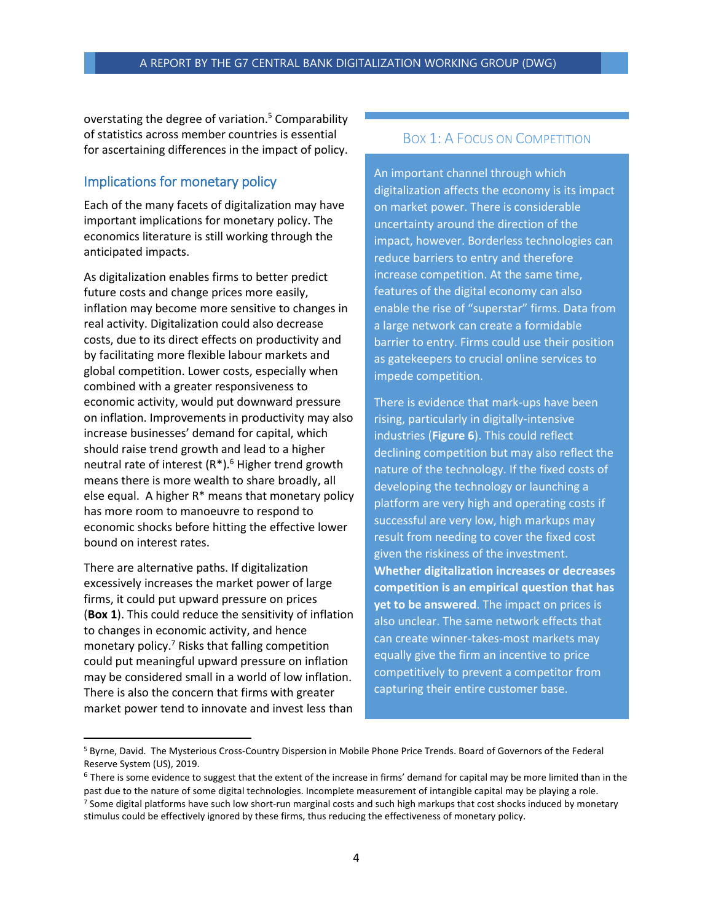overstating the degree of variation.<sup>5</sup> Comparability of statistics across member countries is essential for ascertaining differences in the impact of policy.

## Implications for monetary policy

Each of the many facets of digitalization may have important implications for monetary policy. The economics literature is still working through the anticipated impacts.

As digitalization enables firms to better predict future costs and change prices more easily, inflation may become more sensitive to changes in real activity. Digitalization could also decrease costs, due to its direct effects on productivity and by facilitating more flexible labour markets and global competition. Lower costs, especially when combined with a greater responsiveness to economic activity, would put downward pressure on inflation. Improvements in productivity may also increase businesses' demand for capital, which should raise trend growth and lead to a higher neutral rate of interest  $(R^*)$ .<sup>6</sup> Higher trend growth means there is more wealth to share broadly, all else equal. A higher R\* means that monetary policy has more room to manoeuvre to respond to economic shocks before hitting the effective lower bound on interest rates.

There are alternative paths. If digitalization excessively increases the market power of large firms, it could put upward pressure on prices (**Box 1**). This could reduce the sensitivity of inflation to changes in economic activity, and hence monetary policy.<sup>7</sup> Risks that falling competition could put meaningful upward pressure on inflation may be considered small in a world of low inflation. There is also the concern that firms with greater market power tend to innovate and invest less than

 $\overline{\phantom{a}}$ 

## BOX 1: A FOCUS ON COMPETITION

An important channel through which digitalization affects the economy is its impact on market power. There is considerable uncertainty around the direction of the impact, however. Borderless technologies can reduce barriers to entry and therefore increase competition. At the same time, features of the digital economy can also enable the rise of "superstar" firms. Data from a large network can create a formidable barrier to entry. Firms could use their position as gatekeepers to crucial online services to impede competition.

There is evidence that mark-ups have been rising, particularly in digitally-intensive industries (**Figure 6**). This could reflect declining competition but may also reflect the nature of the technology. If the fixed costs of developing the technology or launching a platform are very high and operating costs if successful are very low, high markups may result from needing to cover the fixed cost given the riskiness of the investment. **Whether digitalization increases or decreases competition is an empirical question that has yet to be answered**. The impact on prices is also unclear. The same network effects that can create winner-takes-most markets may equally give the firm an incentive to price competitively to prevent a competitor from capturing their entire customer base.

<sup>5</sup> Byrne, David. The Mysterious Cross-Country Dispersion in Mobile Phone Price Trends. Board of Governors of the Federal Reserve System (US), 2019.

<sup>&</sup>lt;sup>6</sup> There is some evidence to suggest that the extent of the increase in firms' demand for capital may be more limited than in the past due to the nature of some digital technologies. Incomplete measurement of intangible capital may be playing a role. <sup>7</sup> Some digital platforms have such low short-run marginal costs and such high markups that cost shocks induced by monetary stimulus could be effectively ignored by these firms, thus reducing the effectiveness of monetary policy.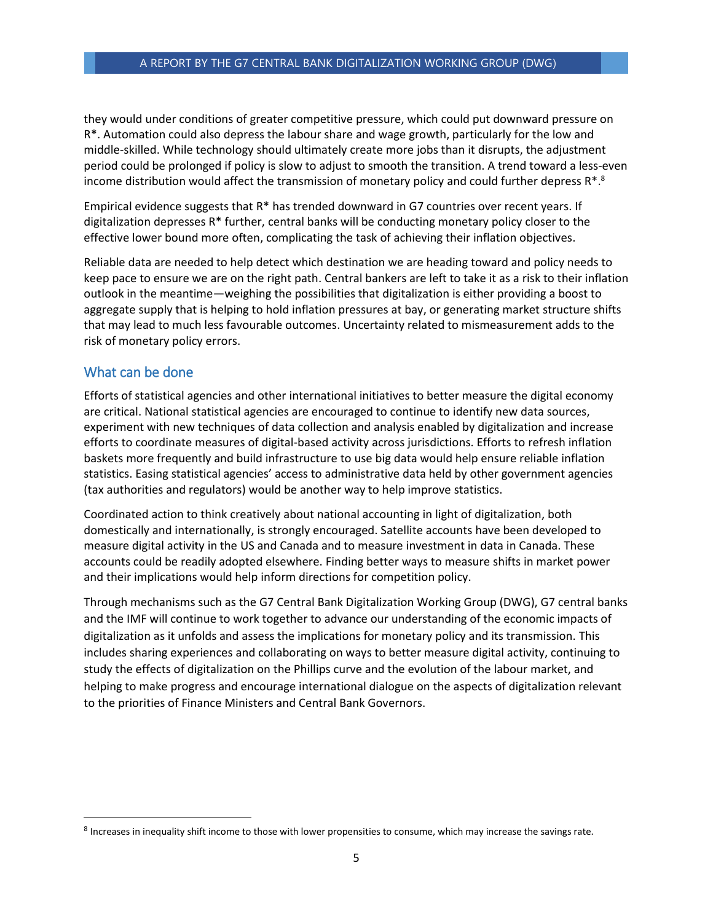#### A REPORT BY THE G7 CENTRAL BANK DIGITALIZATION WORKING GROUP (DWG)

they would under conditions of greater competitive pressure, which could put downward pressure on R\*. Automation could also depress the labour share and wage growth, particularly for the low and middle-skilled. While technology should ultimately create more jobs than it disrupts, the adjustment period could be prolonged if policy is slow to adjust to smooth the transition. A trend toward a less-even income distribution would affect the transmission of monetary policy and could further depress  $R^{*,8}$ 

Empirical evidence suggests that R\* has trended downward in G7 countries over recent years. If digitalization depresses R\* further, central banks will be conducting monetary policy closer to the effective lower bound more often, complicating the task of achieving their inflation objectives.

Reliable data are needed to help detect which destination we are heading toward and policy needs to keep pace to ensure we are on the right path. Central bankers are left to take it as a risk to their inflation outlook in the meantime—weighing the possibilities that digitalization is either providing a boost to aggregate supply that is helping to hold inflation pressures at bay, or generating market structure shifts that may lead to much less favourable outcomes. Uncertainty related to mismeasurement adds to the risk of monetary policy errors.

## What can be done

 $\overline{\phantom{a}}$ 

Efforts of statistical agencies and other international initiatives to better measure the digital economy are critical. National statistical agencies are encouraged to continue to identify new data sources, experiment with new techniques of data collection and analysis enabled by digitalization and increase efforts to coordinate measures of digital-based activity across jurisdictions. Efforts to refresh inflation baskets more frequently and build infrastructure to use big data would help ensure reliable inflation statistics. Easing statistical agencies' access to administrative data held by other government agencies (tax authorities and regulators) would be another way to help improve statistics.

Coordinated action to think creatively about national accounting in light of digitalization, both domestically and internationally, is strongly encouraged. Satellite accounts have been developed to measure digital activity in the US and Canada and to measure investment in data in Canada. These accounts could be readily adopted elsewhere. Finding better ways to measure shifts in market power and their implications would help inform directions for competition policy.

Through mechanisms such as the G7 Central Bank Digitalization Working Group (DWG), G7 central banks and the IMF will continue to work together to advance our understanding of the economic impacts of digitalization as it unfolds and assess the implications for monetary policy and its transmission. This includes sharing experiences and collaborating on ways to better measure digital activity, continuing to study the effects of digitalization on the Phillips curve and the evolution of the labour market, and helping to make progress and encourage international dialogue on the aspects of digitalization relevant to the priorities of Finance Ministers and Central Bank Governors.

 $^8$  Increases in inequality shift income to those with lower propensities to consume, which may increase the savings rate.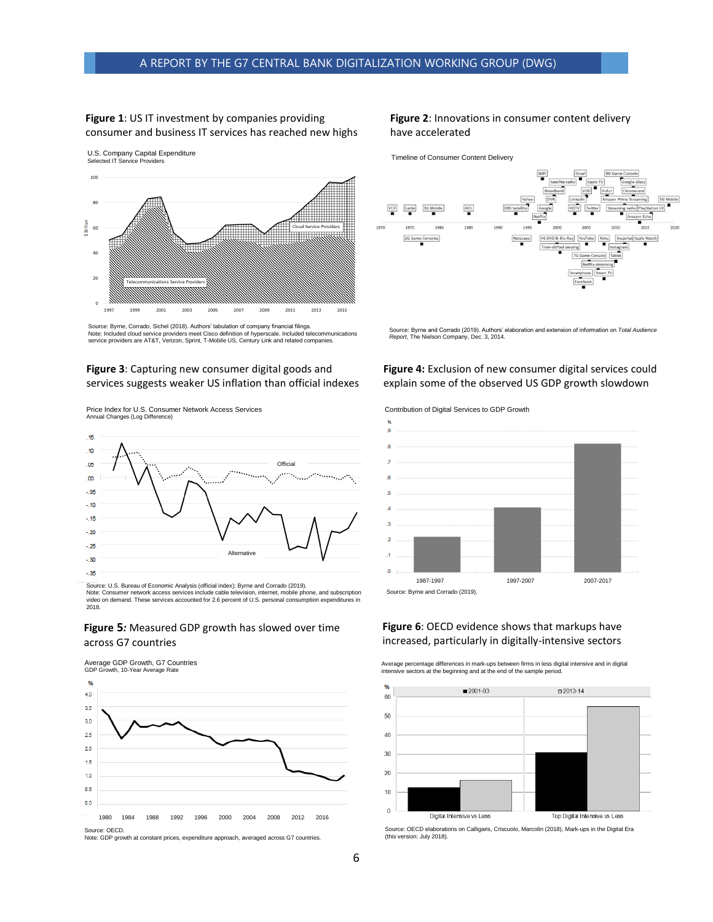#### **Figure 1**: US IT investment by companies providing consumer and business IT services has reached new highs



Source: Byrne, Corrado, Sichel (2018). Authors' tabulation of company financial filings. Note: Included cloud service providers meet Cisco definition of hyperscale. Included telecommunications service providers are AT&T, Verizon, Sprint, T-Mobile US, Century Link and related companies.

#### **Figure 3**: Capturing new consumer digital goods and services suggests weaker US inflation than official indexes

Price Index for U.S. Consumer Network Access Services Annual Changes (Log Difference)



Source: U.S. Bureau of Economic Analysis (official index); Byrne and Corrado (2019). Note: Consumer network access services include cable television, internet, mobile phone, and subscription video on demand. These services accounted for 2.6 percent of U.S. personal consumption expenditures in 2018.



#### Average GDP Growth, G7 Countries GDP Growth, 10-Year Average Rate %  $4.0$  $3.5$  $3.0$  $25$  $20$  $1.5$  $1.0$  $0.5$  $0.0$ 1980 1984 1988 1992 1996 2000 2004 2008 2012 2016

Source: OECD. Note: GDP growth at constant prices, expenditure approach, averaged across G7 countries.

#### **Figure 2**: Innovations in consumer content delivery have accelerated

Timeline of Consumer Content Delivery



Source: Byrne and Corrado (2019). Authors' elaboration and extension of information on *Total Audience Report*, The Nielson Company, Dec. 3, 2014.

#### **Figure 4:** Exclusion of new consumer digital services could explain some of the observed US GDP growth slowdown

Contribution of Digital Services to GDP Growth



#### **Figure 6**: OECD evidence shows that markups have increased, particularly in digitally-intensive sectors

Average percentage differences in mark-ups between firms in less digital intensive and in digital intensive sectors at the beginning and at the end of the sample period.



Source: OECD elaborations on Calligaris, Criscuolo, Marcolin (2018), Mark-ups in the Digital Era (this version: July 2018).